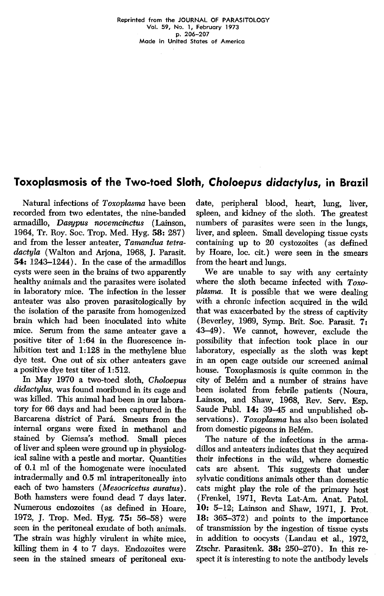## Toxoplasmosis of the Two-toed Sloth, Choloepus didactylus, in Brazil

Natural infections of Toxoplasma have been recorded from two edentates, the nine-banded armadillo, Dasypus novemcinctus ( Lainson, 1964, Tr. Roy. Soe. Trop. Med. Hyg. 58: 287) and from the lesser anteater, Tamandua tetradactyla (Walton and Arjona, 1968, J. Parasit. 54: 1243-1244). In the case of the armadillos cysts were seen in the brains of two apparently healthy animaIs and the parasites were isolated in laboratory mice. The infection in the lesser anteater was also proven parasitologicalIy by the isolation of the parasite from homogenized brain which had been inoculated into white mice. Serum from the same anteater gave a positive titer of 1:64 in the fluorescence inhibition test and 1:128 in the methylene blue dye test. One out of six other anteaters gave a positive dye test titer of 1:512.

In May 1970 a two-toed sloth, Choloepus didactylus, was found moribund in its cage and was killed. This animal had been in our laboratory for 66 days and had been captured in the Barcarena district of Pará. Smears from the internaI organs were fixed in methanol and stained by Giemsa's method. SmalI pieces of liver and spleen were ground up in physiologicaI saline with a pestle and mortar. Quantities of 0.1 ml of the homogenate were inoculated intradermally and 0.5 ml intraperitonealIy into each of two hamsters (Mesocricetus auratus). Both hamsters were found dead 7 days later. Numerous endozoites (as defined in Hoare, 1972, J. Trop. Med. Hyg. 75: 56-58) were seen in the peritoneal exudate of both animals. The strain was highly virulent in white mice, killing them in 4 to 7 days. Endozoites were seen in the stained smears of peritoneaI exudate, peripheral blood, heart, lung, liver, spleen, and kidney of the sloth. The greatest numbers of parasites were seen in the lungs, liver, and spleen. Small developing tissue cysts containing up to 20 cystozoites (as defined by Hoare, loc. cit.) were seen in the smears from the heart and lungs.

We are unable to say with any certainty where the sloth became infected with  $T<sub>oxO</sub>$ plasma. It is possible that we were dealing with a chronic infection acquired in the wild that was exacerbated by the stress of captivity (Beverley, 1969, Symp. Brit. Soc. Parasit. 7: 43-49) .We cannot, however, exclude the possibility that infection took place in our laboratory, especially as the sloth was kept in an open cage outside our screened animal house. Toxoplasmosis is quite common in the city of Belém and a number of strains have been isolated from febrile patients (Noura, Lainson, and Shaw, 1968, Rev. Serv. Esp. Saude Publ. 14: 39-45 and unpublished observations). Toxoplasma has also been isolated from domestic pigeons in Belém.

The nature of the infections in the armadillos and anteaters indicates that they acquired their infections in the wild, where domestic cats are absent. This suggests that under sylvatic conditions animals other than domestic cats might play the role of the primary host (Frenkel, 1971, Revta Lat-Am. Anat. Patol. 10: 5-12; Lainson and Shaw, 1971, J. Prot. 18: 365-372) and points to the importance of transmission by the ingestion of tissue cysts in addition to oocysts (Landau et al., 1972, Ztschr. Parasitenk. 38: 250-270). In this respect it is interesting to note the antibody levels